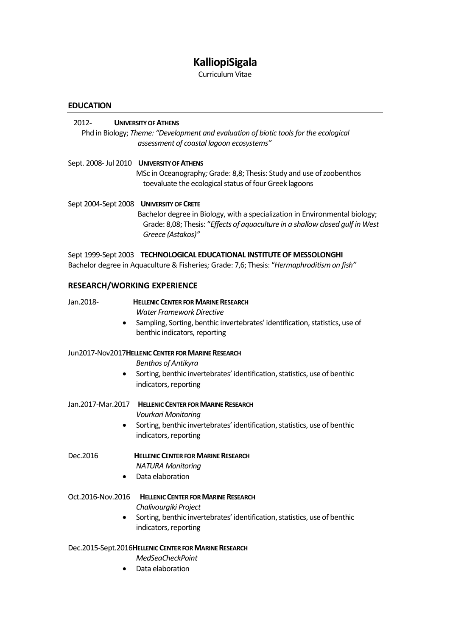# **KalliopiSigala**

Curriculum Vitae

## **EDUCATION**

# 2012**- UNIVERSITY OF ATHENS**  Phd in Biology; *Theme: "Development and evaluation of biotic tools for the ecological assessment of coastal lagoon ecosystems"* Sept. 2008- Jul 2010 **UNIVERSITY OF ATHENS**  MSc in Oceanography*;* Grade: 8,8; Thesis: Study and use of zoobenthos toevaluate the ecological status of four Greek lagoons Sept 2004-Sept 2008 **UNIVERSITY OF CRETE** Bachelor degree in Biology, with a specialization in Environmental biology; Grade: 8,08; Thesis: "*Effects of aquaculture in a shallow closed gulf in West Greece (Astakos)"* Sept 1999-Sept 2003 **TECHNOLOGICAL EDUCATIONAL INSTITUTE OF MESSOLONGHI** Bachelor degree in Aquaculture & Fisheries*;* Grade: 7,6; Thesis: "*Hermaphroditism on fish"* **RESEARCH/WORKING EXPERIENCE** Jan.2018- **HELLENIC CENTER FOR MARINE RESEARCH** *Water Framework Directive* Sampling, Sorting, benthic invertebrates' identification, statistics, use of benthic indicators, reporting Jun2017-Nov2017**HELLENIC CENTER FOR MARINE RESEARCH** *Benthos of Antikyra* Sorting, benthic invertebrates' identification, statistics, use of benthic indicators, reporting

## Jan.2017-Mar.2017 **HELLENIC CENTER FOR MARINE RESEARCH**

*Vourkari Monitoring*

 Sorting, benthic invertebrates' identification, statistics, use of benthic indicators, reporting

# Dec.2016 **HELLENIC CENTER FOR MARINE RESEARCH**

*NATURA Monitoring*

Data elaboration

# Oct.2016-Nov.2016 **HELLENIC CENTER FOR MARINE RESEARCH**

*Chalivourgiki Project*

 Sorting, benthic invertebrates' identification, statistics, use of benthic indicators, reporting

## Dec.2015-Sept.2016**HELLENIC CENTER FOR MARINE RESEARCH**

*MedSeaCheckPoint*

Data elaboration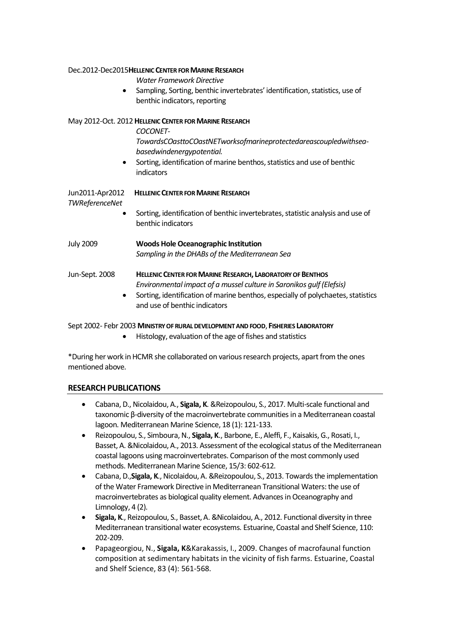|                                   | Water Framework Directive<br>Sampling, Sorting, benthic invertebrates' identification, statistics, use of<br>benthic indicators, reporting                                                                                                                           |
|-----------------------------------|----------------------------------------------------------------------------------------------------------------------------------------------------------------------------------------------------------------------------------------------------------------------|
|                                   | May 2012-Oct. 2012 HELLENIC CENTER FOR MARINE RESEARCH<br><b>COCONET-</b><br>TowardsCOasttoCOastNETworksofmarineprotectedareascoupledwithsea-<br>basedwindenergypotential.<br>Sorting, identification of marine benthos, statistics and use of benthic<br>indicators |
| Jun2011-Apr2012<br>TWReferenceNet | <b>HELLENIC CENTER FOR MARINE RESEARCH</b><br>Sorting, identification of benthic invertebrates, statistic analysis and use of<br>benthic indicators                                                                                                                  |
| <b>July 2009</b>                  | <b>Woods Hole Oceanographic Institution</b><br>Sampling in the DHABs of the Mediterranean Sea                                                                                                                                                                        |
| Jun-Sept. 2008                    | HELLENIC CENTER FOR MARINE RESEARCH, LABORATORY OF BENTHOS<br>Environmental impact of a mussel culture in Saronikos gulf (Elefsis)<br>Sorting, identification of marine benthos, especially of polychaetes, statistics<br>and use of benthic indicators              |

Dec.2012-Dec2015**HELLENIC CENTER FOR MARINE RESEARCH**

Sept 2002- Febr 2003 **MINISTRY OF RURAL DEVELOPMENT AND FOOD**, **FISHERIES LABORATORY**

Histology, evaluation of the age of fishes and statistics

\*During her work in HCMR she collaborated on various research projects, apart from the ones mentioned above.

# **RESEARCH PUBLICATIONS**

- Cabana, D., Nicolaidou, A., **Sigala, K**. &Reizopoulou, S., 2017. Multi-scale functional and taxonomic β-diversity of the macroinvertebrate communities in a Mediterranean coastal lagoon. Mediterranean Marine Science, 18 (1): 121-133.
- Reizopoulou, S., Simboura, N., **Sigala, K**., Barbone, E., Aleffi, F., Kaisakis, G., Rosati, I., Basset, A. &Nicolaidou, A., 2013. Assessment of the ecological status of the Mediterranean coastal lagoons using macroinvertebrates. Comparison of the most commonly used methods. Mediterranean Marine Science, 15/3: 602-612.
- Cabana, D.,**Sigala, K**., Nicolaidou, A. &Reizopoulou, S., 2013. Towards the implementation of the Water Framework Directive in Mediterranean Transitional Waters: the use of macroinvertebrates as biological quality element. Advances in Oceanography and Limnology, 4 (2).
- **Sigala, K**., Reizopoulou, S., Basset, A. &Nicolaidou, A., 2012. Functional diversity in three Mediterranean transitional water ecosystems. Estuarine, Coastal and Shelf Science, 110: 202-209.
- Papageorgiou, N., **Sigala, K**&Karakassis, I., 2009. Changes of macrofaunal function composition at sedimentary habitats in the vicinity of fish farms. Estuarine, Coastal and Shelf Science, 83 (4): 561-568.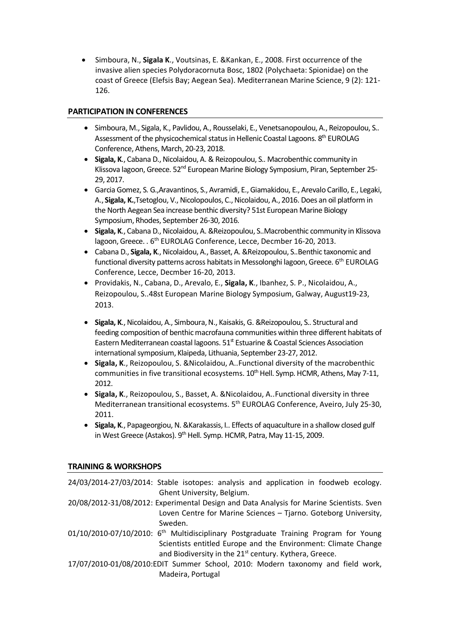Simboura, N., **Sigala K**., Voutsinas, E. &Kankan, E., 2008. First occurrence of the invasive alien species Polydoracornuta Bosc, 1802 (Polychaeta: Spionidae) on the coast of Greece (Elefsis Bay; Aegean Sea). Mediterranean Marine Science, 9 (2): 121- 126.

# **PARTICIPATION IN CONFERENCES**

- Simboura, M., Sigala, K., Pavlidou, A., Rousselaki, E., Venetsanopoulou, A., Reizopoulou, S.. Assessment of the physicochemical status in Hellenic Coastal Lagoons. 8<sup>th</sup> EUROLAG Conference, Athens, March, 20-23, 2018.
- **Sigala, K**., Cabana D., Nicolaidou, A. & Reizopoulou, S.. Macrobenthic community in Klissova lagoon, Greece. 52<sup>nd</sup> European Marine Biology Symposium, Piran, September 25-29, 2017.
- Garcia Gomez, S. G.,Aravantinos, S., Avramidi, E., Giamakidou, E., Arevalo Carillo, E., Legaki, A., **Sigala, K.**,Tsetoglou, V., Nicolopoulos, C., Nicolaidou, A., 2016. Does an oil platform in the North Aegean Sea increase benthic diversity? 51st European Marine Biology Symposium, Rhodes, September 26-30, 2016.
- **Sigala, K**., Cabana D., Nicolaidou, A. &Reizopoulou, S..Macrobenthic community in Klissova lagoon, Greece. . 6<sup>th</sup> EUROLAG Conference, Lecce, Decmber 16-20, 2013.
- Cabana D., **Sigala, K**., Nicolaidou, A., Basset, A. &Reizopoulou, S..Benthic taxonomic and functional diversity patterns across habitats in Messolonghi lagoon, Greece. 6<sup>th</sup> EUROLAG Conference, Lecce, Decmber 16-20, 2013.
- Providakis, N., Cabana, D., Arevalo, E., **Sigala, K**., Ibanhez, S. P., Nicolaidou, A., Reizopoulou, S..48st European Marine Biology Symposium, Galway, August19-23, 2013.
- **Sigala, K**., Nicolaidou, A., Simboura, N., Kaisakis, G. &Reizopoulou, S.. Structural and feeding composition of benthic macrofauna communities within three different habitats of Eastern Mediterranean coastal lagoons.  $51<sup>st</sup>$  Estuarine & Coastal Sciences Association international symposium, Klaipeda, Lithuania, September 23-27, 2012.
- **Sigala, K**., Reizopoulou, S. &Nicolaidou, A..Functional diversity of the macrobenthic communities in five transitional ecosystems.  $10^{th}$  Hell. Symp. HCMR, Athens, May 7-11, 2012.
- **Sigala, K**., Reizopoulou, S., Basset, A. &Nicolaidou, A..Functional diversity in three Mediterranean transitional ecosystems. 5<sup>th</sup> EUROLAG Conference, Aveiro, July 25-30, 2011.
- **Sigala, K., Papageorgiou, N. &Karakassis, I.. Effects of aquaculture in a shallow closed gulf** in West Greece (Astakos).  $9<sup>th</sup>$  Hell. Symp. HCMR, Patra, May 11-15, 2009.

# **TRAINING & WORKSHOPS**

| 24/03/2014-27/03/2014: Stable isotopes: analysis and application in foodweb ecology.             |
|--------------------------------------------------------------------------------------------------|
| Ghent University, Belgium.                                                                       |
| 20/08/2012-31/08/2012: Experimental Design and Data Analysis for Marine Scientists. Sven         |
| Loven Centre for Marine Sciences - Tjarno. Goteborg University,                                  |
| Sweden.                                                                                          |
| 01/10/2010-07/10/2010: 6 <sup>th</sup> Multidisciplinary Postgraduate Training Program for Young |
| Scientists entitled Europe and the Environment: Climate Change                                   |
| and Biodiversity in the 21 <sup>st</sup> century. Kythera, Greece.                               |
| 17/07/2010-01/08/2010:EDIT Summer School, 2010: Modern taxonomy and field work,                  |
| Madeira, Portugal                                                                                |